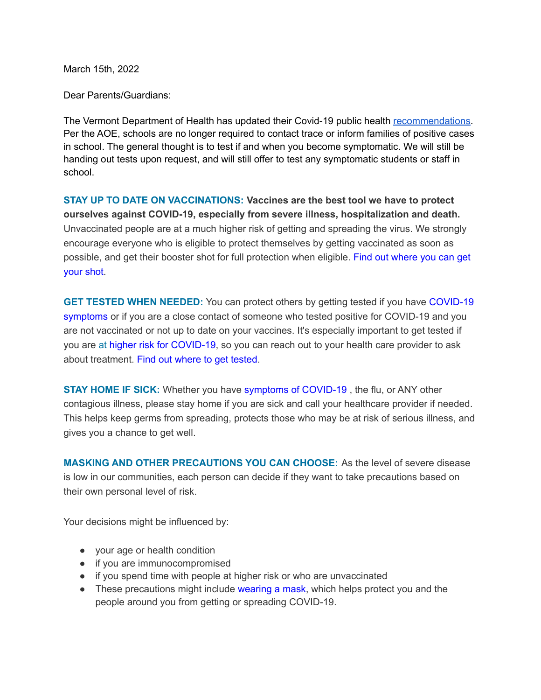March 15th, 2022

Dear Parents/Guardians:

The Vermont Department of Health has updated their Covid-19 public health [recommendations.](https://www.healthvermont.gov/covid-19) Per the AOE, schools are no longer required to contact trace or inform families of positive cases in school. The general thought is to test if and when you become symptomatic. We will still be handing out tests upon request, and will still offer to test any symptomatic students or staff in school.

**STAY UP TO DATE ON VACCINATIONS: Vaccines are the best tool we have to protect ourselves against COVID-19, especially from severe illness, hospitalization and death.** Unvaccinated people are at a much higher risk of getting and spreading the virus. We strongly encourage everyone who is eligible to protect themselves by getting vaccinated as soon as possible, and get their booster shot for full protection when eligible. Find out [where](https://www.healthvermont.gov/covid-19/vaccine/getting-covid-19-vaccine) you can get [your](https://www.healthvermont.gov/covid-19/vaccine/getting-covid-19-vaccine) shot.

**GET TESTED WHEN NEEDED:** You can protect others by getting tested if you have [COVID-19](https://www.healthvermont.gov/covid-19/symptoms-sickness/symptoms) [symptoms](https://www.healthvermont.gov/covid-19/symptoms-sickness/symptoms) or if you are a close contact of someone who tested positive for COVID-19 and you are not vaccinated or not up to date on your vaccines. It's especially important to get tested if you are at higher risk for [COVID-19](https://www.cdc.gov/coronavirus/2019-ncov/need-extra-precautions/people-with-medical-conditions.html), so you can reach out to your health care provider to ask about treatment. Find out [where](https://www.healthvermont.gov/covid-19/testing/where-get-tested) to get tested.

**STAY HOME IF SICK:** Whether you have symptoms of [COVID-19](https://www.healthvermont.gov/covid-19/symptoms-sickness/symptoms) , the flu, or ANY other contagious illness, please stay home if you are sick and call your healthcare provider if needed. This helps keep germs from spreading, protects those who may be at risk of serious illness, and gives you a chance to get well.

**MASKING AND OTHER PRECAUTIONS YOU CAN CHOOSE:** As the level of severe disease is low in our communities, each person can decide if they want to take precautions based on their own personal level of risk.

Your decisions might be influenced by:

- your age or health condition
- if you are immunocompromised
- if you spend time with people at higher risk or who are unvaccinated
- These precautions might include [wearing](https://www.cdc.gov/coronavirus/2019-ncov/prevent-getting-sick/masks.html) a mask, which helps protect you and the people around you from getting or spreading COVID-19.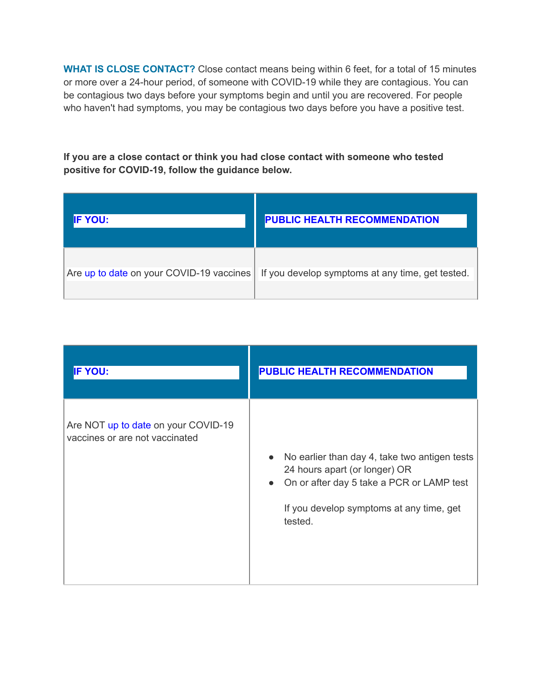**WHAT IS CLOSE CONTACT?** Close contact means being within 6 feet, for a total of 15 minutes or more over a 24-hour period, of someone with COVID-19 while they are contagious. You can be contagious two days before your symptoms begin and until you are recovered. For people who haven't had symptoms, you may be contagious two days before you have a positive test.

**If you are a close contact or think you had close contact with someone who tested positive for COVID-19, follow the guidance below.**

| <b>IF YOU:</b>                           | <b>PUBLIC HEALTH RECOMMENDATION</b>              |
|------------------------------------------|--------------------------------------------------|
| Are up to date on your COVID-19 vaccines | If you develop symptoms at any time, get tested. |

| <b>IF YOU:</b>                                                        | PUBLIC HEALTH RECOMMENDATION                                                                                                                                                                                 |
|-----------------------------------------------------------------------|--------------------------------------------------------------------------------------------------------------------------------------------------------------------------------------------------------------|
| Are NOT up to date on your COVID-19<br>vaccines or are not vaccinated | No earlier than day 4, take two antigen tests<br>$\bullet$<br>24 hours apart (or longer) OR<br>On or after day 5 take a PCR or LAMP test<br>$\bullet$<br>If you develop symptoms at any time, get<br>tested. |